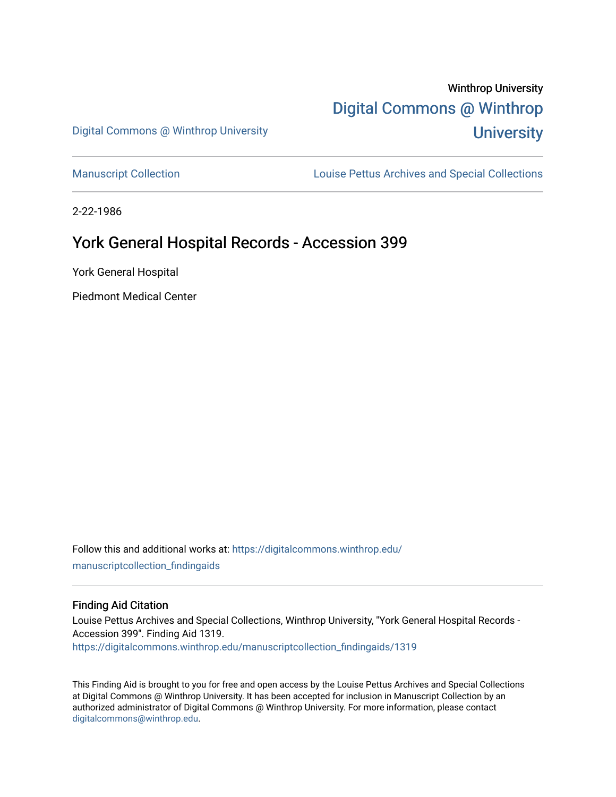# Winthrop University [Digital Commons @ Winthrop](https://digitalcommons.winthrop.edu/)  **University**

Digital Commons @ Winthrop University

[Manuscript Collection](https://digitalcommons.winthrop.edu/manuscriptcollection_findingaids) **Louise Pettus Archives and Special Collections** 

2-22-1986

# York General Hospital Records - Accession 399

York General Hospital

Piedmont Medical Center

Follow this and additional works at: [https://digitalcommons.winthrop.edu/](https://digitalcommons.winthrop.edu/manuscriptcollection_findingaids?utm_source=digitalcommons.winthrop.edu%2Fmanuscriptcollection_findingaids%2F1319&utm_medium=PDF&utm_campaign=PDFCoverPages) [manuscriptcollection\\_findingaids](https://digitalcommons.winthrop.edu/manuscriptcollection_findingaids?utm_source=digitalcommons.winthrop.edu%2Fmanuscriptcollection_findingaids%2F1319&utm_medium=PDF&utm_campaign=PDFCoverPages) 

#### Finding Aid Citation

Louise Pettus Archives and Special Collections, Winthrop University, "York General Hospital Records - Accession 399". Finding Aid 1319. [https://digitalcommons.winthrop.edu/manuscriptcollection\\_findingaids/1319](https://digitalcommons.winthrop.edu/manuscriptcollection_findingaids/1319?utm_source=digitalcommons.winthrop.edu%2Fmanuscriptcollection_findingaids%2F1319&utm_medium=PDF&utm_campaign=PDFCoverPages) 

This Finding Aid is brought to you for free and open access by the Louise Pettus Archives and Special Collections at Digital Commons @ Winthrop University. It has been accepted for inclusion in Manuscript Collection by an authorized administrator of Digital Commons @ Winthrop University. For more information, please contact [digitalcommons@winthrop.edu](mailto:digitalcommons@winthrop.edu).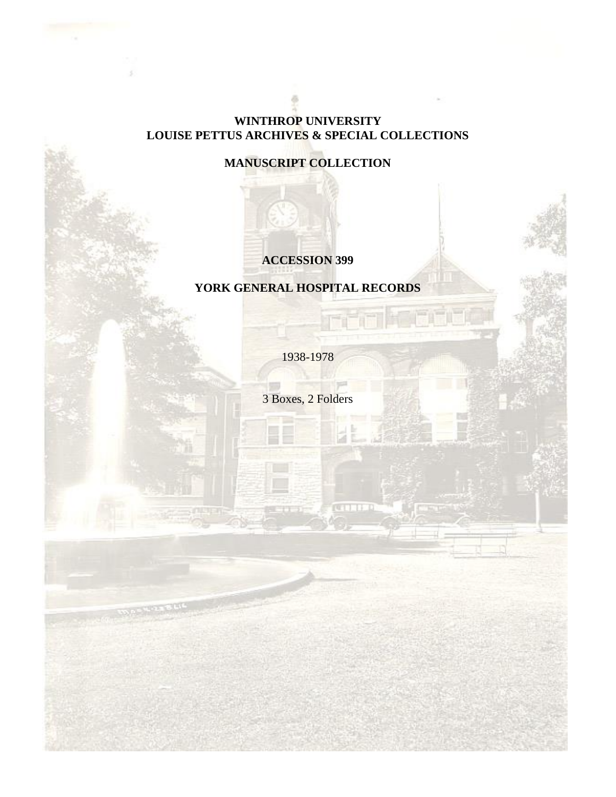### **WINTHROP UNIVERSITY LOUISE PETTUS ARCHIVES & SPECIAL COLLECTIONS**

# **MANUSCRIPT COLLECTION**

### **ACCESSION 399**

# **YORK GENERAL HOSPITAL RECORDS**

1938-1978

3 Boxes, 2 Folders

 $\top$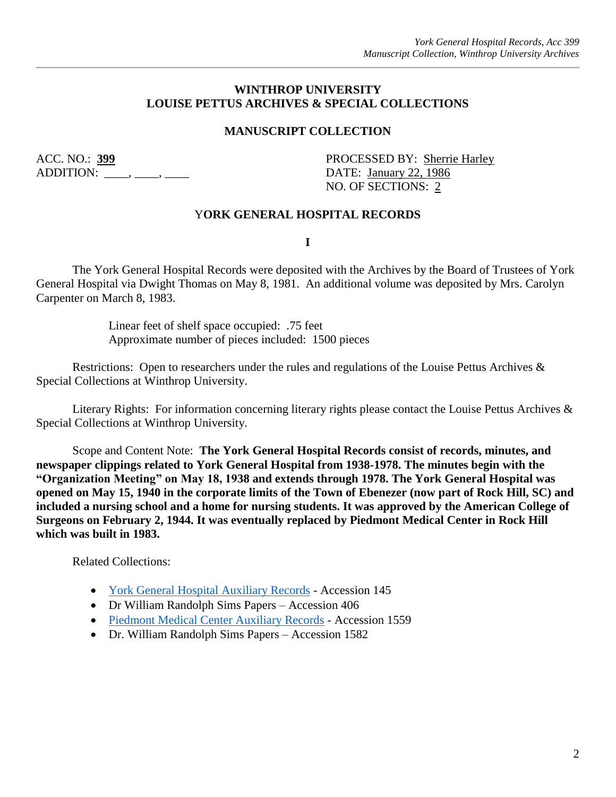#### **WINTHROP UNIVERSITY LOUISE PETTUS ARCHIVES & SPECIAL COLLECTIONS**

### **MANUSCRIPT COLLECTION**

ADDITION: \_\_\_\_, \_\_\_\_, \_\_\_\_\_ DATE: January 22, 1986

ACC. NO.: 399 PROCESSED BY: Sherrie Harley NO. OF SECTIONS: 2

#### Y**ORK GENERAL HOSPITAL RECORDS**

**I**

The York General Hospital Records were deposited with the Archives by the Board of Trustees of York General Hospital via Dwight Thomas on May 8, 1981. An additional volume was deposited by Mrs. Carolyn Carpenter on March 8, 1983.

> Linear feet of shelf space occupied: .75 feet Approximate number of pieces included: 1500 pieces

Restrictions: Open to researchers under the rules and regulations of the Louise Pettus Archives & Special Collections at Winthrop University.

Literary Rights: For information concerning literary rights please contact the Louise Pettus Archives & Special Collections at Winthrop University.

Scope and Content Note: **The York General Hospital Records consist of records, minutes, and newspaper clippings related to York General Hospital from 1938-1978. The minutes begin with the "Organization Meeting" on May 18, 1938 and extends through 1978. The York General Hospital was opened on May 15, 1940 in the corporate limits of the Town of Ebenezer (now part of Rock Hill, SC) and included a nursing school and a home for nursing students. It was approved by the American College of Surgeons on February 2, 1944. It was eventually replaced by Piedmont Medical Center in Rock Hill which was built in 1983.**

Related Collections:

- [York General Hospital Auxiliary Records](https://digitalcommons.winthrop.edu/manuscriptcollection_findingaids/255/) Accession 145
- Dr William Randolph Sims Papers Accession 406
- [Piedmont Medical Center Auxiliary Records](https://digitalcommons.winthrop.edu/manuscriptcollection_findingaids/741/) Accession 1559
- Dr. William Randolph Sims Papers Accession 1582